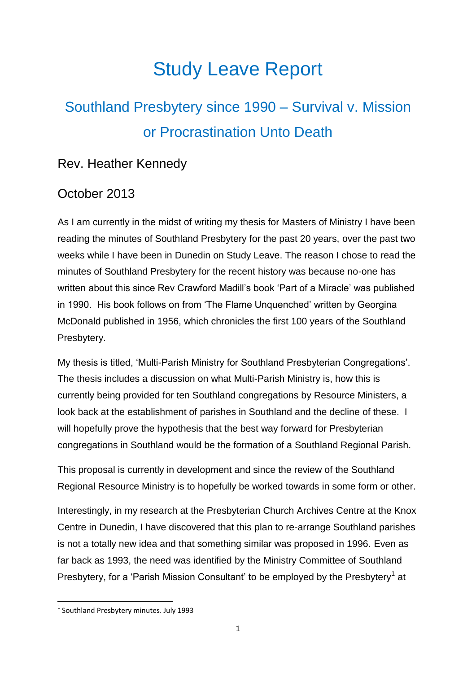# Study Leave Report

## Southland Presbytery since 1990 – Survival v. Mission or Procrastination Unto Death

### Rev. Heather Kennedy

### October 2013

As I am currently in the midst of writing my thesis for Masters of Ministry I have been reading the minutes of Southland Presbytery for the past 20 years, over the past two weeks while I have been in Dunedin on Study Leave. The reason I chose to read the minutes of Southland Presbytery for the recent history was because no-one has written about this since Rev Crawford Madill's book 'Part of a Miracle' was published in 1990. His book follows on from 'The Flame Unquenched' written by Georgina McDonald published in 1956, which chronicles the first 100 years of the Southland Presbytery.

My thesis is titled, 'Multi-Parish Ministry for Southland Presbyterian Congregations'. The thesis includes a discussion on what Multi-Parish Ministry is, how this is currently being provided for ten Southland congregations by Resource Ministers, a look back at the establishment of parishes in Southland and the decline of these. I will hopefully prove the hypothesis that the best way forward for Presbyterian congregations in Southland would be the formation of a Southland Regional Parish.

This proposal is currently in development and since the review of the Southland Regional Resource Ministry is to hopefully be worked towards in some form or other.

Interestingly, in my research at the Presbyterian Church Archives Centre at the Knox Centre in Dunedin, I have discovered that this plan to re-arrange Southland parishes is not a totally new idea and that something similar was proposed in 1996. Even as far back as 1993, the need was identified by the Ministry Committee of Southland Presbytery, for a 'Parish Mission Consultant' to be employed by the Presbytery<sup>1</sup> at

<sup>&</sup>lt;sup>1</sup> Southland Presbytery minutes. July 1993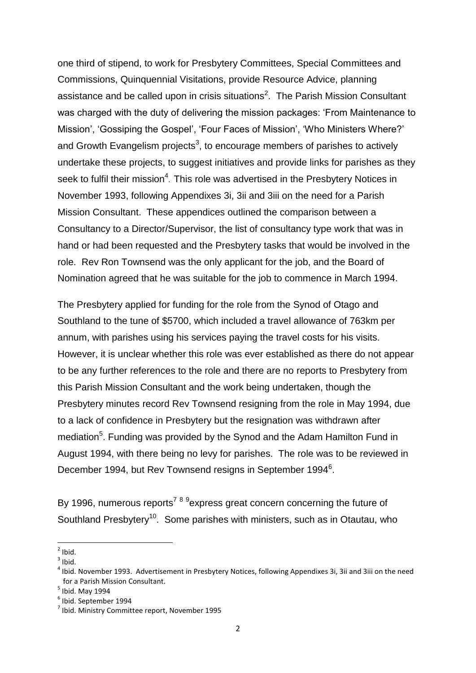one third of stipend, to work for Presbytery Committees, Special Committees and Commissions, Quinquennial Visitations, provide Resource Advice, planning assistance and be called upon in crisis situations<sup>2</sup>. The Parish Mission Consultant was charged with the duty of delivering the mission packages: 'From Maintenance to Mission', 'Gossiping the Gospel', 'Four Faces of Mission', 'Who Ministers Where?' and Growth Evangelism projects<sup>3</sup>, to encourage members of parishes to actively undertake these projects, to suggest initiatives and provide links for parishes as they seek to fulfil their mission<sup>4</sup>. This role was advertised in the Presbytery Notices in November 1993, following Appendixes 3i, 3ii and 3iii on the need for a Parish Mission Consultant. These appendices outlined the comparison between a Consultancy to a Director/Supervisor, the list of consultancy type work that was in hand or had been requested and the Presbytery tasks that would be involved in the role. Rev Ron Townsend was the only applicant for the job, and the Board of Nomination agreed that he was suitable for the job to commence in March 1994.

The Presbytery applied for funding for the role from the Synod of Otago and Southland to the tune of \$5700, which included a travel allowance of 763km per annum, with parishes using his services paying the travel costs for his visits. However, it is unclear whether this role was ever established as there do not appear to be any further references to the role and there are no reports to Presbytery from this Parish Mission Consultant and the work being undertaken, though the Presbytery minutes record Rev Townsend resigning from the role in May 1994, due to a lack of confidence in Presbytery but the resignation was withdrawn after mediation<sup>5</sup>. Funding was provided by the Synod and the Adam Hamilton Fund in August 1994, with there being no levy for parishes. The role was to be reviewed in December 1994, but Rev Townsend resigns in September 1994<sup>6</sup>.

By 1996, numerous reports<sup>7 8 9</sup>express great concern concerning the future of Southland Presbytery<sup>10</sup>. Some parishes with ministers, such as in Otautau, who

 $\frac{1}{2}$ Ibid.

 $3$  Ibid.

<sup>&</sup>lt;sup>4</sup> Ibid. November 1993. Advertisement in Presbytery Notices, following Appendixes 3i, 3ii and 3iii on the need for a Parish Mission Consultant.

 $<sup>5</sup>$  Ibid. May 1994</sup>

<sup>6</sup> Ibid. September 1994

<sup>&</sup>lt;sup>7</sup> Ibid. Ministry Committee report, November 1995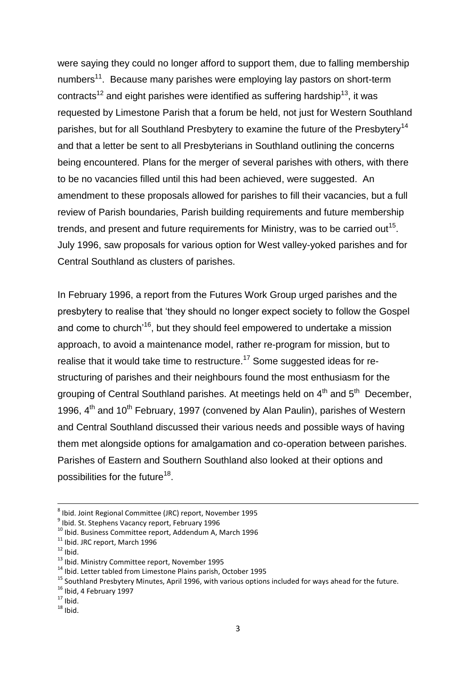were saying they could no longer afford to support them, due to falling membership numbers<sup>11</sup>. Because many parishes were employing lay pastors on short-term contracts<sup>12</sup> and eight parishes were identified as suffering hardship<sup>13</sup>, it was requested by Limestone Parish that a forum be held, not just for Western Southland parishes, but for all Southland Presbytery to examine the future of the Presbytery<sup>14</sup> and that a letter be sent to all Presbyterians in Southland outlining the concerns being encountered. Plans for the merger of several parishes with others, with there to be no vacancies filled until this had been achieved, were suggested. An amendment to these proposals allowed for parishes to fill their vacancies, but a full review of Parish boundaries, Parish building requirements and future membership trends, and present and future requirements for Ministry, was to be carried out<sup>15</sup>. July 1996, saw proposals for various option for West valley-yoked parishes and for Central Southland as clusters of parishes.

In February 1996, a report from the Futures Work Group urged parishes and the presbytery to realise that 'they should no longer expect society to follow the Gospel and come to church<sup>16</sup>, but they should feel empowered to undertake a mission approach, to avoid a maintenance model, rather re-program for mission, but to realise that it would take time to restructure.<sup>17</sup> Some suggested ideas for restructuring of parishes and their neighbours found the most enthusiasm for the grouping of Central Southland parishes. At meetings held on 4<sup>th</sup> and 5<sup>th</sup> December, 1996, 4<sup>th</sup> and 10<sup>th</sup> February, 1997 (convened by Alan Paulin), parishes of Western and Central Southland discussed their various needs and possible ways of having them met alongside options for amalgamation and co-operation between parishes. Parishes of Eastern and Southern Southland also looked at their options and possibilities for the future<sup>18</sup>.

<sup>8</sup> Ibid. Joint Regional Committee (JRC) report, November 1995

<sup>&</sup>lt;sup>9</sup> Ibid. St. Stephens Vacancy report, February 1996

<sup>&</sup>lt;sup>10</sup> Ibid. Business Committee report, Addendum A, March 1996

 $11$  Ibid. JRC report, March 1996

 $12$  Ibid.

<sup>13</sup> Ibid. Ministry Committee report, November 1995

<sup>14</sup> Ibid. Letter tabled from Limestone Plains parish, October 1995

<sup>&</sup>lt;sup>15</sup> Southland Presbytery Minutes, April 1996, with various options included for ways ahead for the future.

<sup>&</sup>lt;sup>16</sup> Ibid, 4 February 1997

 $17$  Ibid.

 $18$  Ibid.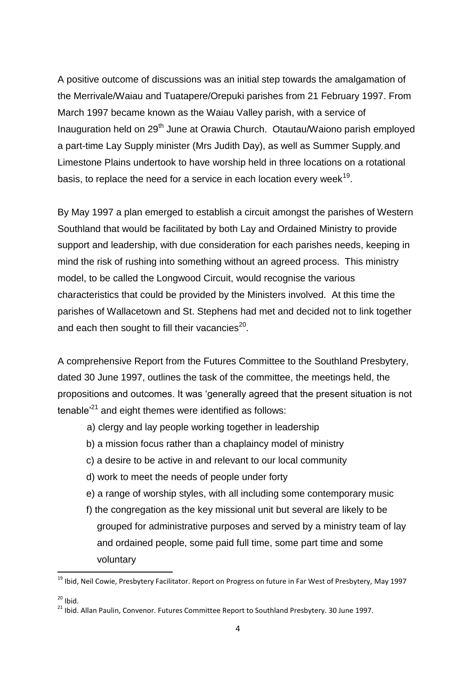A positive outcome of discussions was an initial step towards the amalgamation of the Merrivale/Waiau and Tuatapere/Orepuki parishes from 21 February 1997. From March 1997 became known as the Waiau Valley parish, with a service of Inauguration held on 29<sup>th</sup> June at Orawia Church. Otautau/Waiono parish employed a part-time Lay Supply minister (Mrs Judith Day), as well as Summer Supply, and Limestone Plains undertook to have worship held in three locations on a rotational basis, to replace the need for a service in each location every week $^{19}$ .

By May 1997 a plan emerged to establish a circuit amongst the parishes of Western Southland that would be facilitated by both Lay and Ordained Ministry to provide support and leadership, with due consideration for each parishes needs, keeping in mind the risk of rushing into something without an agreed process. This ministry model, to be called the Longwood Circuit, would recognise the various characteristics that could be provided by the Ministers involved. At this time the parishes of Wallacetown and St. Stephens had met and decided not to link together and each then sought to fill their vacancies $^{20}$ .

A comprehensive Report from the Futures Committee to the Southland Presbytery, dated 30 June 1997, outlines the task of the committee, the meetings held, the propositions and outcomes. It was 'generally agreed that the present situation is not tenable<sup> $21$ </sup> and eight themes were identified as follows:

- a) clergy and lay people working together in leadership
- b) a mission focus rather than a chaplaincy model of ministry
- c) a desire to be active in and relevant to our local community
- d) work to meet the needs of people under forty
- e) a range of worship styles, with all including some contemporary music
- f) the congregation as the key missional unit but several are likely to be grouped for administrative purposes and served by a ministry team of lay and ordained people, some paid full time, some part time and some voluntary

<sup>&</sup>lt;sup>19</sup> Ibid, Neil Cowie, Presbytery Facilitator. Report on Progress on future in Far West of Presbytery, May 1997

 $20$  Ibid.

<sup>&</sup>lt;sup>21</sup> Ibid. Allan Paulin. Convenor. Futures Committee Report to Southland Presbytery. 30 June 1997.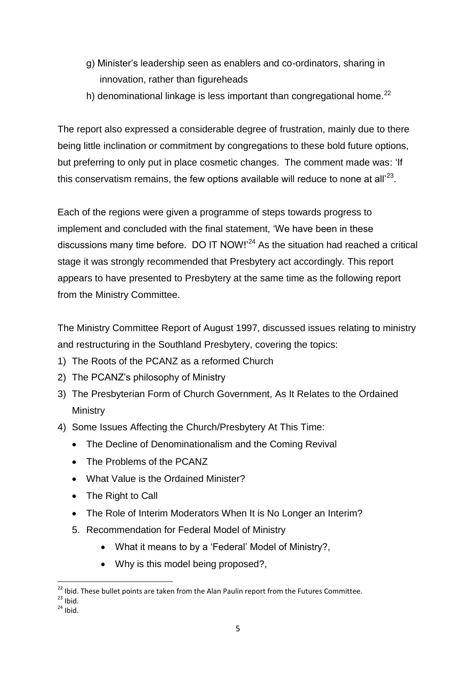- g) Minister's leadership seen as enablers and co-ordinators, sharing in innovation, rather than figureheads
- h) denominational linkage is less important than congregational home.<sup>22</sup>

The report also expressed a considerable degree of frustration, mainly due to there being little inclination or commitment by congregations to these bold future options, but preferring to only put in place cosmetic changes. The comment made was: 'If this conservatism remains, the few options available will reduce to none at all'<sup>23</sup>.

Each of the regions were given a programme of steps towards progress to implement and concluded with the final statement, 'We have been in these discussions many time before. DO IT NOW!'<sup>24</sup> As the situation had reached a critical stage it was strongly recommended that Presbytery act accordingly. This report appears to have presented to Presbytery at the same time as the following report from the Ministry Committee.

The Ministry Committee Report of August 1997, discussed issues relating to ministry and restructuring in the Southland Presbytery, covering the topics:

- 1) The Roots of the PCANZ as a reformed Church
- 2) The PCANZ's philosophy of Ministry
- 3) The Presbyterian Form of Church Government, As It Relates to the Ordained **Ministry**
- 4) Some Issues Affecting the Church/Presbytery At This Time:
	- The Decline of Denominationalism and the Coming Revival
	- The Problems of the PCANZ
	- What Value is the Ordained Minister?
	- The Right to Call
	- The Role of Interim Moderators When It is No Longer an Interim?
	- 5. Recommendation for Federal Model of Ministry
		- What it means to by a 'Federal' Model of Ministry?,
		- Why is this model being proposed?,

**<sup>.</sup>**  $22$  Ibid. These bullet points are taken from the Alan Paulin report from the Futures Committee.

 $23$  Ibid.

 $24$  Ibid.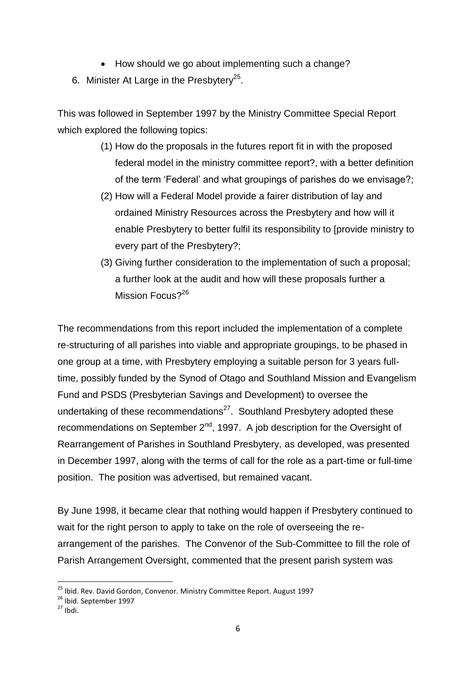- How should we go about implementing such a change?
- 6. Minister At Large in the Presbytery<sup>25</sup>.

This was followed in September 1997 by the Ministry Committee Special Report which explored the following topics:

- (1) How do the proposals in the futures report fit in with the proposed federal model in the ministry committee report?, with a better definition of the term 'Federal' and what groupings of parishes do we envisage?;
- (2) How will a Federal Model provide a fairer distribution of lay and ordained Ministry Resources across the Presbytery and how will it enable Presbytery to better fulfil its responsibility to [provide ministry to every part of the Presbytery?;
- (3) Giving further consideration to the implementation of such a proposal; a further look at the audit and how will these proposals further a Mission Focus?<sup>26</sup>

The recommendations from this report included the implementation of a complete re-structuring of all parishes into viable and appropriate groupings, to be phased in one group at a time, with Presbytery employing a suitable person for 3 years fulltime, possibly funded by the Synod of Otago and Southland Mission and Evangelism Fund and PSDS (Presbyterian Savings and Development) to oversee the undertaking of these recommendations<sup>27</sup>. Southland Presbytery adopted these recommendations on September 2<sup>nd</sup>, 1997. A job description for the Oversight of Rearrangement of Parishes in Southland Presbytery, as developed, was presented in December 1997, along with the terms of call for the role as a part-time or full-time position. The position was advertised, but remained vacant.

By June 1998, it became clear that nothing would happen if Presbytery continued to wait for the right person to apply to take on the role of overseeing the rearrangement of the parishes. The Convenor of the Sub-Committee to fill the role of Parish Arrangement Oversight, commented that the present parish system was

<sup>&</sup>lt;sup>25</sup> Ibid. Rev. David Gordon, Convenor. Ministry Committee Report. August 1997

<sup>&</sup>lt;sup>26</sup> Ibid. September 1997

 $27$  Ibdi.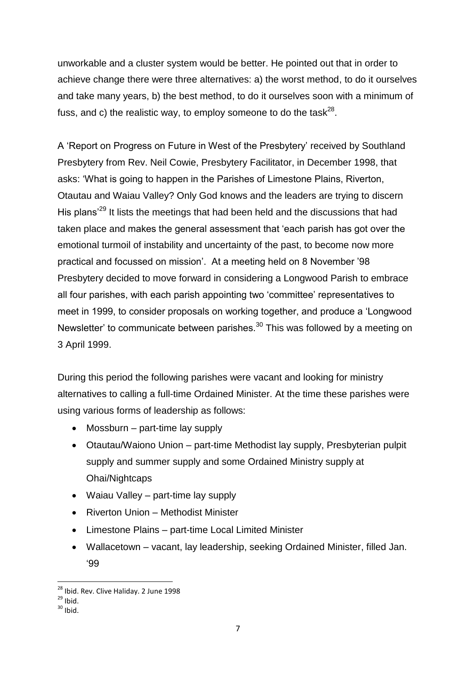unworkable and a cluster system would be better. He pointed out that in order to achieve change there were three alternatives: a) the worst method, to do it ourselves and take many years, b) the best method, to do it ourselves soon with a minimum of fuss, and c) the realistic way, to employ someone to do the task<sup>28</sup>.

A 'Report on Progress on Future in West of the Presbytery' received by Southland Presbytery from Rev. Neil Cowie, Presbytery Facilitator, in December 1998, that asks: 'What is going to happen in the Parishes of Limestone Plains, Riverton, Otautau and Waiau Valley? Only God knows and the leaders are trying to discern His plans<sup>'29</sup> It lists the meetings that had been held and the discussions that had taken place and makes the general assessment that 'each parish has got over the emotional turmoil of instability and uncertainty of the past, to become now more practical and focussed on mission'. At a meeting held on 8 November '98 Presbytery decided to move forward in considering a Longwood Parish to embrace all four parishes, with each parish appointing two 'committee' representatives to meet in 1999, to consider proposals on working together, and produce a 'Longwood Newsletter' to communicate between parishes.<sup>30</sup> This was followed by a meeting on 3 April 1999.

During this period the following parishes were vacant and looking for ministry alternatives to calling a full-time Ordained Minister. At the time these parishes were using various forms of leadership as follows:

- Mossburn part-time lay supply
- Otautau/Waiono Union part-time Methodist lay supply, Presbyterian pulpit supply and summer supply and some Ordained Ministry supply at Ohai/Nightcaps
- Waiau Valley part-time lay supply
- Riverton Union Methodist Minister
- Limestone Plains part-time Local Limited Minister
- Wallacetown vacant, lay leadership, seeking Ordained Minister, filled Jan. '99

**<sup>.</sup>** <sup>28</sup> Ibid. Rev. Clive Haliday. 2 June 1998

 $^{29}$  Ibid.

 $30$  Ibid.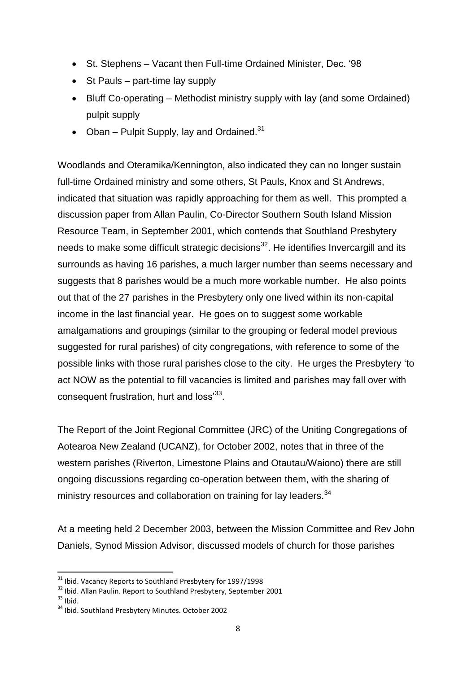- St. Stephens Vacant then Full-time Ordained Minister, Dec. '98
- St Pauls part-time lay supply
- Bluff Co-operating Methodist ministry supply with lay (and some Ordained) pulpit supply
- Oban Pulpit Supply, lay and Ordained. $31$

Woodlands and Oteramika/Kennington, also indicated they can no longer sustain full-time Ordained ministry and some others, St Pauls, Knox and St Andrews, indicated that situation was rapidly approaching for them as well. This prompted a discussion paper from Allan Paulin, Co-Director Southern South Island Mission Resource Team, in September 2001, which contends that Southland Presbytery needs to make some difficult strategic decisions $32$ . He identifies Invercargill and its surrounds as having 16 parishes, a much larger number than seems necessary and suggests that 8 parishes would be a much more workable number. He also points out that of the 27 parishes in the Presbytery only one lived within its non-capital income in the last financial year. He goes on to suggest some workable amalgamations and groupings (similar to the grouping or federal model previous suggested for rural parishes) of city congregations, with reference to some of the possible links with those rural parishes close to the city. He urges the Presbytery 'to act NOW as the potential to fill vacancies is limited and parishes may fall over with consequent frustration, hurt and loss<sup>33</sup>.

The Report of the Joint Regional Committee (JRC) of the Uniting Congregations of Aotearoa New Zealand (UCANZ), for October 2002, notes that in three of the western parishes (Riverton, Limestone Plains and Otautau/Waiono) there are still ongoing discussions regarding co-operation between them, with the sharing of ministry resources and collaboration on training for lay leaders.<sup>34</sup>

At a meeting held 2 December 2003, between the Mission Committee and Rev John Daniels, Synod Mission Advisor, discussed models of church for those parishes

 $33$  Ibid.

<sup>&</sup>lt;sup>31</sup> Ibid. Vacancy Reports to Southland Presbytery for 1997/1998

<sup>&</sup>lt;sup>32</sup> Ibid. Allan Paulin. Report to Southland Presbytery, September 2001

<sup>34</sup> Ibid. Southland Presbytery Minutes. October 2002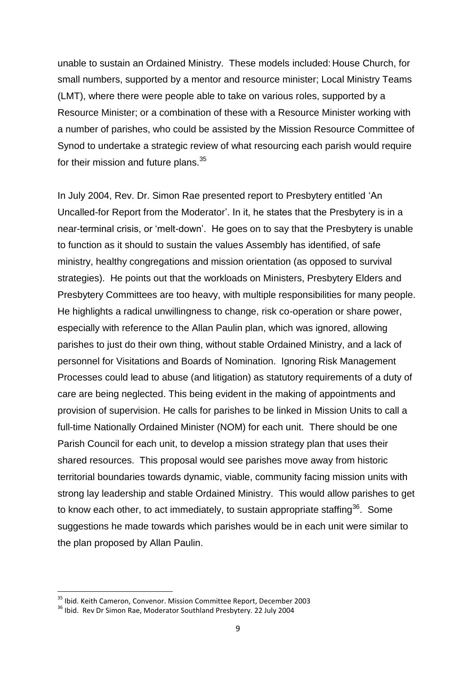unable to sustain an Ordained Ministry. These models included: House Church, for small numbers, supported by a mentor and resource minister; Local Ministry Teams (LMT), where there were people able to take on various roles, supported by a Resource Minister; or a combination of these with a Resource Minister working with a number of parishes, who could be assisted by the Mission Resource Committee of Synod to undertake a strategic review of what resourcing each parish would require for their mission and future plans.<sup>35</sup>

In July 2004, Rev. Dr. Simon Rae presented report to Presbytery entitled 'An Uncalled-for Report from the Moderator'. In it, he states that the Presbytery is in a near-terminal crisis, or 'melt-down'. He goes on to say that the Presbytery is unable to function as it should to sustain the values Assembly has identified, of safe ministry, healthy congregations and mission orientation (as opposed to survival strategies). He points out that the workloads on Ministers, Presbytery Elders and Presbytery Committees are too heavy, with multiple responsibilities for many people. He highlights a radical unwillingness to change, risk co-operation or share power, especially with reference to the Allan Paulin plan, which was ignored, allowing parishes to just do their own thing, without stable Ordained Ministry, and a lack of personnel for Visitations and Boards of Nomination. Ignoring Risk Management Processes could lead to abuse (and litigation) as statutory requirements of a duty of care are being neglected. This being evident in the making of appointments and provision of supervision. He calls for parishes to be linked in Mission Units to call a full-time Nationally Ordained Minister (NOM) for each unit. There should be one Parish Council for each unit, to develop a mission strategy plan that uses their shared resources. This proposal would see parishes move away from historic territorial boundaries towards dynamic, viable, community facing mission units with strong lay leadership and stable Ordained Ministry. This would allow parishes to get to know each other, to act immediately, to sustain appropriate staffing<sup>36</sup>. Some suggestions he made towards which parishes would be in each unit were similar to the plan proposed by Allan Paulin.

<sup>&</sup>lt;sup>35</sup> Ibid. Keith Cameron, Convenor. Mission Committee Report, December 2003

<sup>&</sup>lt;sup>36</sup> Ibid. Rev Dr Simon Rae, Moderator Southland Presbytery. 22 July 2004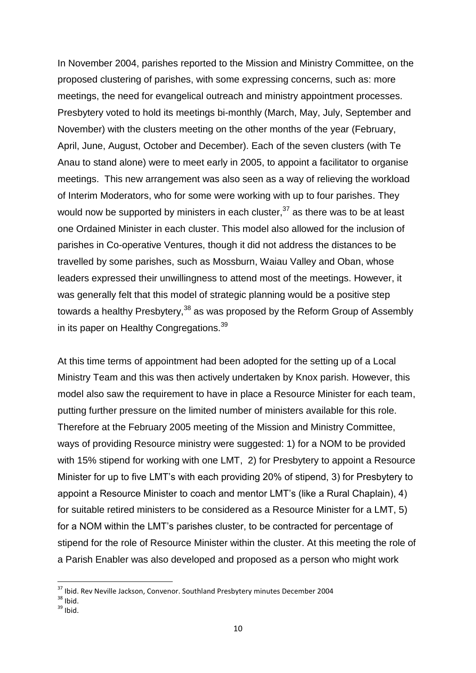In November 2004, parishes reported to the Mission and Ministry Committee, on the proposed clustering of parishes, with some expressing concerns, such as: more meetings, the need for evangelical outreach and ministry appointment processes. Presbytery voted to hold its meetings bi-monthly (March, May, July, September and November) with the clusters meeting on the other months of the year (February, April, June, August, October and December). Each of the seven clusters (with Te Anau to stand alone) were to meet early in 2005, to appoint a facilitator to organise meetings. This new arrangement was also seen as a way of relieving the workload of Interim Moderators, who for some were working with up to four parishes. They would now be supported by ministers in each cluster,  $37$  as there was to be at least one Ordained Minister in each cluster. This model also allowed for the inclusion of parishes in Co-operative Ventures, though it did not address the distances to be travelled by some parishes, such as Mossburn, Waiau Valley and Oban, whose leaders expressed their unwillingness to attend most of the meetings. However, it was generally felt that this model of strategic planning would be a positive step towards a healthy Presbytery,  $38$  as was proposed by the Reform Group of Assembly in its paper on Healthy Congregations.<sup>39</sup>

At this time terms of appointment had been adopted for the setting up of a Local Ministry Team and this was then actively undertaken by Knox parish. However, this model also saw the requirement to have in place a Resource Minister for each team, putting further pressure on the limited number of ministers available for this role. Therefore at the February 2005 meeting of the Mission and Ministry Committee, ways of providing Resource ministry were suggested: 1) for a NOM to be provided with 15% stipend for working with one LMT, 2) for Presbytery to appoint a Resource Minister for up to five LMT's with each providing 20% of stipend, 3) for Presbytery to appoint a Resource Minister to coach and mentor LMT's (like a Rural Chaplain), 4) for suitable retired ministers to be considered as a Resource Minister for a LMT, 5) for a NOM within the LMT's parishes cluster, to be contracted for percentage of stipend for the role of Resource Minister within the cluster. At this meeting the role of a Parish Enabler was also developed and proposed as a person who might work

<sup>&</sup>lt;sup>37</sup> Ibid. Rev Neville Jackson, Convenor. Southland Presbytery minutes December 2004

 $38$  Ibid.

 $39$  Ibid.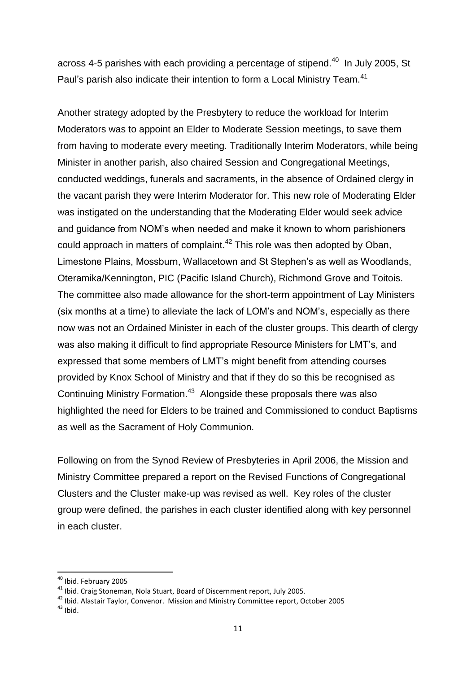across 4-5 parishes with each providing a percentage of stipend. $40$  In July 2005, St Paul's parish also indicate their intention to form a Local Ministry Team.<sup>41</sup>

Another strategy adopted by the Presbytery to reduce the workload for Interim Moderators was to appoint an Elder to Moderate Session meetings, to save them from having to moderate every meeting. Traditionally Interim Moderators, while being Minister in another parish, also chaired Session and Congregational Meetings, conducted weddings, funerals and sacraments, in the absence of Ordained clergy in the vacant parish they were Interim Moderator for. This new role of Moderating Elder was instigated on the understanding that the Moderating Elder would seek advice and guidance from NOM's when needed and make it known to whom parishioners could approach in matters of complaint.<sup>42</sup> This role was then adopted by Oban, Limestone Plains, Mossburn, Wallacetown and St Stephen's as well as Woodlands, Oteramika/Kennington, PIC (Pacific Island Church), Richmond Grove and Toitois. The committee also made allowance for the short-term appointment of Lay Ministers (six months at a time) to alleviate the lack of LOM's and NOM's, especially as there now was not an Ordained Minister in each of the cluster groups. This dearth of clergy was also making it difficult to find appropriate Resource Ministers for LMT's, and expressed that some members of LMT's might benefit from attending courses provided by Knox School of Ministry and that if they do so this be recognised as Continuing Ministry Formation.<sup>43</sup> Alongside these proposals there was also highlighted the need for Elders to be trained and Commissioned to conduct Baptisms as well as the Sacrament of Holy Communion.

Following on from the Synod Review of Presbyteries in April 2006, the Mission and Ministry Committee prepared a report on the Revised Functions of Congregational Clusters and the Cluster make-up was revised as well. Key roles of the cluster group were defined, the parishes in each cluster identified along with key personnel in each cluster.

<sup>&</sup>lt;sup>40</sup> Ibid. February 2005

<sup>41</sup> Ibid. Craig Stoneman, Nola Stuart, Board of Discernment report, July 2005.

<sup>42</sup> Ibid. Alastair Taylor, Convenor. Mission and Ministry Committee report, October 2005  $43$  Ibid.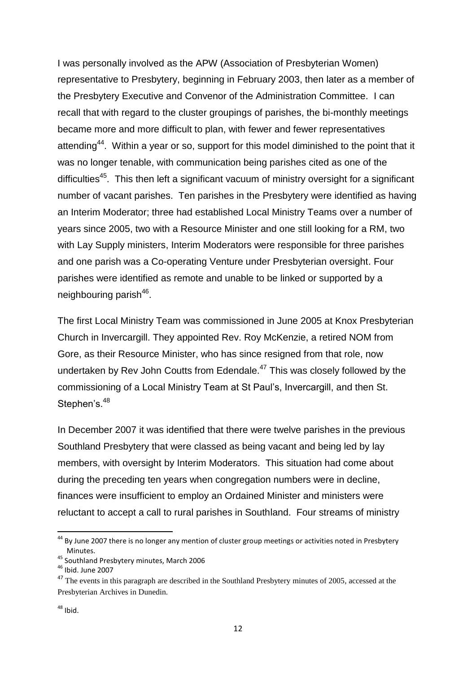I was personally involved as the APW (Association of Presbyterian Women) representative to Presbytery, beginning in February 2003, then later as a member of the Presbytery Executive and Convenor of the Administration Committee. I can recall that with regard to the cluster groupings of parishes, the bi-monthly meetings became more and more difficult to plan, with fewer and fewer representatives attending<sup>44</sup>. Within a year or so, support for this model diminished to the point that it was no longer tenable, with communication being parishes cited as one of the difficulties<sup>45</sup>. This then left a significant vacuum of ministry oversight for a significant number of vacant parishes. Ten parishes in the Presbytery were identified as having an Interim Moderator; three had established Local Ministry Teams over a number of years since 2005, two with a Resource Minister and one still looking for a RM, two with Lay Supply ministers, Interim Moderators were responsible for three parishes and one parish was a Co-operating Venture under Presbyterian oversight. Four parishes were identified as remote and unable to be linked or supported by a neighbouring parish<sup>46</sup>.

The first Local Ministry Team was commissioned in June 2005 at Knox Presbyterian Church in Invercargill. They appointed Rev. Roy McKenzie, a retired NOM from Gore, as their Resource Minister, who has since resigned from that role, now undertaken by Rev John Coutts from Edendale. $47$  This was closely followed by the commissioning of a Local Ministry Team at St Paul's, Invercargill, and then St. Stephen's.<sup>48</sup>

In December 2007 it was identified that there were twelve parishes in the previous Southland Presbytery that were classed as being vacant and being led by lay members, with oversight by Interim Moderators. This situation had come about during the preceding ten years when congregation numbers were in decline, finances were insufficient to employ an Ordained Minister and ministers were reluctant to accept a call to rural parishes in Southland. Four streams of ministry

#### $48$  Ibid.

<sup>&</sup>lt;sup>44</sup> By June 2007 there is no longer any mention of cluster group meetings or activities noted in Presbytery Minutes.

<sup>45</sup> Southland Presbytery minutes, March 2006

<sup>46</sup> Ibid. June 2007

<sup>&</sup>lt;sup>47</sup> The events in this paragraph are described in the Southland Presbytery minutes of 2005, accessed at the Presbyterian Archives in Dunedin.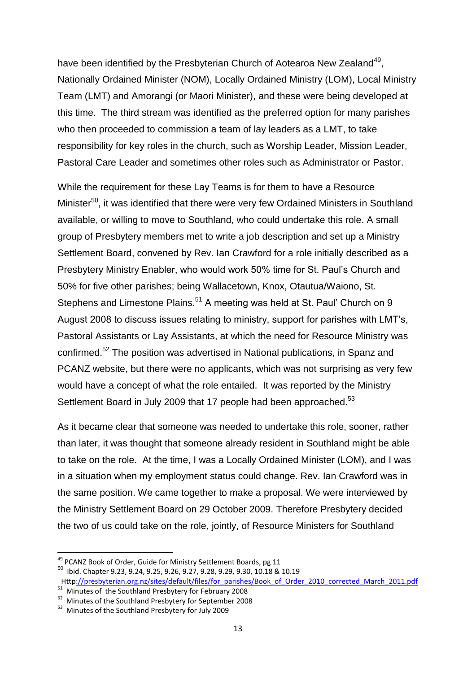have been identified by the Presbyterian Church of Aotearoa New Zealand<sup>49</sup>, Nationally Ordained Minister (NOM), Locally Ordained Ministry (LOM), Local Ministry Team (LMT) and Amorangi (or Maori Minister), and these were being developed at this time. The third stream was identified as the preferred option for many parishes who then proceeded to commission a team of lay leaders as a LMT, to take responsibility for key roles in the church, such as Worship Leader, Mission Leader, Pastoral Care Leader and sometimes other roles such as Administrator or Pastor.

While the requirement for these Lay Teams is for them to have a Resource Minister<sup>50</sup>, it was identified that there were very few Ordained Ministers in Southland available, or willing to move to Southland, who could undertake this role. A small group of Presbytery members met to write a job description and set up a Ministry Settlement Board, convened by Rev. Ian Crawford for a role initially described as a Presbytery Ministry Enabler, who would work 50% time for St. Paul's Church and 50% for five other parishes; being Wallacetown, Knox, Otautua/Waiono, St. Stephens and Limestone Plains.<sup>51</sup> A meeting was held at St. Paul' Church on 9 August 2008 to discuss issues relating to ministry, support for parishes with LMT's, Pastoral Assistants or Lay Assistants, at which the need for Resource Ministry was confirmed.<sup>52</sup> The position was advertised in National publications, in Spanz and PCANZ website, but there were no applicants, which was not surprising as very few would have a concept of what the role entailed. It was reported by the Ministry Settlement Board in July 2009 that 17 people had been approached.<sup>53</sup>

As it became clear that someone was needed to undertake this role, sooner, rather than later, it was thought that someone already resident in Southland might be able to take on the role. At the time, I was a Locally Ordained Minister (LOM), and I was in a situation when my employment status could change. Rev. Ian Crawford was in the same position. We came together to make a proposal. We were interviewed by the Ministry Settlement Board on 29 October 2009. Therefore Presbytery decided the two of us could take on the role, jointly, of Resource Ministers for Southland

<sup>&</sup>lt;sup>49</sup> PCANZ Book of Order, Guide for Ministry Settlement Boards, pg 11

<sup>50</sup> Ibid. Chapter 9.23, 9.24, 9.25, 9.26, 9.27, 9.28, 9.29, 9.30, 10.18 & 10.19

Htt[p://presbyterian.org.nz/sites/default/files/for\\_parishes/Book\\_of\\_Order\\_2010\\_corrected\\_March\\_2011.pdf](http://presbyterian.org.nz/sites/default/files/for_parishes/Book_of_Order_2010_corrected_March_2011.pdf) <sup>51</sup> Minutes of the Southland Presbytery for February 2008

<sup>&</sup>lt;sup>52</sup> Minutes of the Southland Presbytery for September 2008

<sup>&</sup>lt;sup>53</sup> Minutes of the Southland Presbytery for July 2009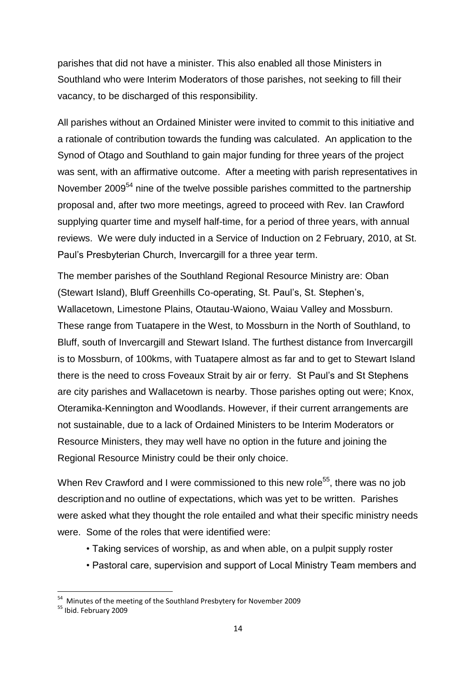parishes that did not have a minister. This also enabled all those Ministers in Southland who were Interim Moderators of those parishes, not seeking to fill their vacancy, to be discharged of this responsibility.

All parishes without an Ordained Minister were invited to commit to this initiative and a rationale of contribution towards the funding was calculated. An application to the Synod of Otago and Southland to gain major funding for three years of the project was sent, with an affirmative outcome. After a meeting with parish representatives in November 2009<sup>54</sup> nine of the twelve possible parishes committed to the partnership proposal and, after two more meetings, agreed to proceed with Rev. Ian Crawford supplying quarter time and myself half-time, for a period of three years, with annual reviews. We were duly inducted in a Service of Induction on 2 February, 2010, at St. Paul's Presbyterian Church, Invercargill for a three year term.

The member parishes of the Southland Regional Resource Ministry are: Oban (Stewart Island), Bluff Greenhills Co-operating, St. Paul's, St. Stephen's, Wallacetown, Limestone Plains, Otautau-Waiono, Waiau Valley and Mossburn. These range from Tuatapere in the West, to Mossburn in the North of Southland, to Bluff, south of Invercargill and Stewart Island. The furthest distance from Invercargill is to Mossburn, of 100kms, with Tuatapere almost as far and to get to Stewart Island there is the need to cross Foveaux Strait by air or ferry. St Paul's and St Stephens are city parishes and Wallacetown is nearby. Those parishes opting out were; Knox, Oteramika-Kennington and Woodlands. However, if their current arrangements are not sustainable, due to a lack of Ordained Ministers to be Interim Moderators or Resource Ministers, they may well have no option in the future and joining the Regional Resource Ministry could be their only choice.

When Rev Crawford and I were commissioned to this new role<sup>55</sup>, there was no job description and no outline of expectations, which was yet to be written. Parishes were asked what they thought the role entailed and what their specific ministry needs were. Some of the roles that were identified were:

- Taking services of worship, as and when able, on a pulpit supply roster
- Pastoral care, supervision and support of Local Ministry Team members and

 54 Minutes of the meeting of the Southland Presbytery for November 2009

<sup>55</sup> Ibid. February 2009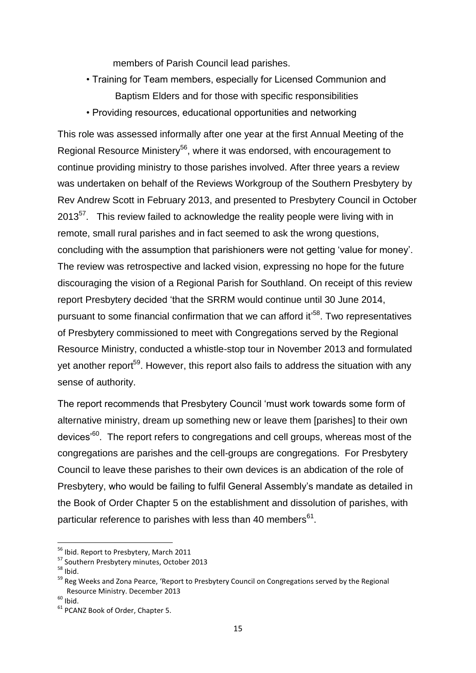members of Parish Council lead parishes.

- Training for Team members, especially for Licensed Communion and Baptism Elders and for those with specific responsibilities
- Providing resources, educational opportunities and networking

This role was assessed informally after one year at the first Annual Meeting of the Regional Resource Ministery<sup>56</sup>, where it was endorsed, with encouragement to continue providing ministry to those parishes involved. After three years a review was undertaken on behalf of the Reviews Workgroup of the Southern Presbytery by Rev Andrew Scott in February 2013, and presented to Presbytery Council in October 2013 $57$ . This review failed to acknowledge the reality people were living with in remote, small rural parishes and in fact seemed to ask the wrong questions, concluding with the assumption that parishioners were not getting 'value for money'. The review was retrospective and lacked vision, expressing no hope for the future discouraging the vision of a Regional Parish for Southland. On receipt of this review report Presbytery decided 'that the SRRM would continue until 30 June 2014, pursuant to some financial confirmation that we can afford it<sup>,58</sup>. Two representatives of Presbytery commissioned to meet with Congregations served by the Regional Resource Ministry, conducted a whistle-stop tour in November 2013 and formulated yet another report<sup>59</sup>. However, this report also fails to address the situation with any sense of authority.

The report recommends that Presbytery Council 'must work towards some form of alternative ministry, dream up something new or leave them [parishes] to their own devices'<sup>60</sup>. The report refers to congregations and cell groups, whereas most of the congregations are parishes and the cell-groups are congregations. For Presbytery Council to leave these parishes to their own devices is an abdication of the role of Presbytery, who would be failing to fulfil General Assembly's mandate as detailed in the Book of Order Chapter 5 on the establishment and dissolution of parishes, with particular reference to parishes with less than 40 members $^{61}$ .

 $\overline{a}$ 

<sup>&</sup>lt;sup>56</sup> Ibid. Report to Presbytery, March 2011

<sup>57</sup> Southern Presbytery minutes, October 2013

 $58$  Ibid.

<sup>&</sup>lt;sup>59</sup> Reg Weeks and Zona Pearce, 'Report to Presbytery Council on Congregations served by the Regional Resource Ministry. December 2013

 $60$  Ibid.

<sup>&</sup>lt;sup>61</sup> PCANZ Book of Order, Chapter 5.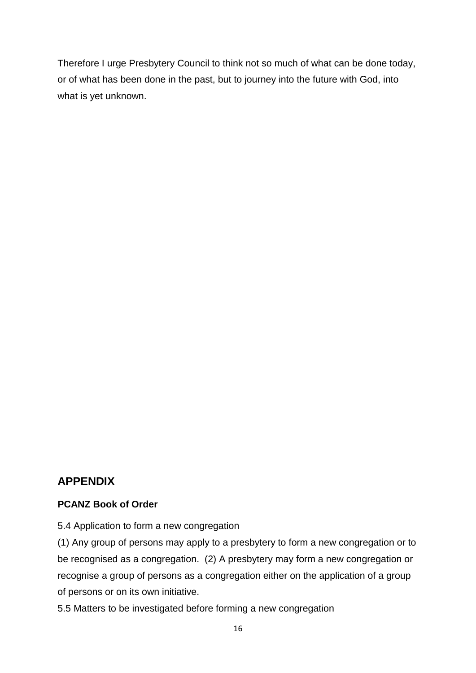Therefore I urge Presbytery Council to think not so much of what can be done today, or of what has been done in the past, but to journey into the future with God, into what is yet unknown.

#### **APPENDIX**

#### **PCANZ Book of Order**

5.4 Application to form a new congregation

(1) Any group of persons may apply to a presbytery to form a new congregation or to be recognised as a congregation. (2) A presbytery may form a new congregation or recognise a group of persons as a congregation either on the application of a group of persons or on its own initiative.

5.5 Matters to be investigated before forming a new congregation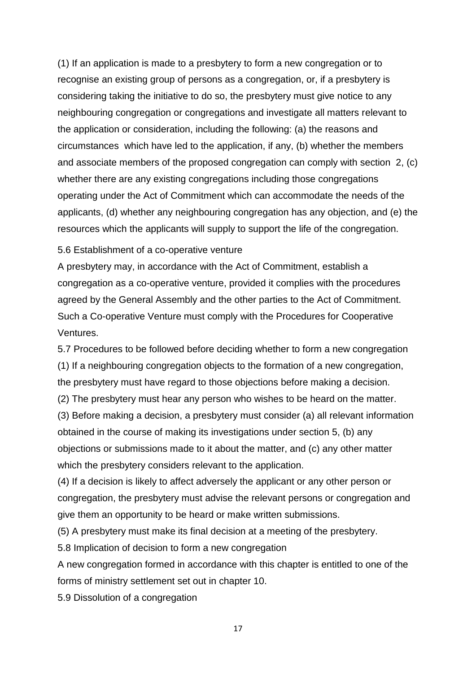(1) If an application is made to a presbytery to form a new congregation or to recognise an existing group of persons as a congregation, or, if a presbytery is considering taking the initiative to do so, the presbytery must give notice to any neighbouring congregation or congregations and investigate all matters relevant to the application or consideration, including the following: (a) the reasons and circumstances which have led to the application, if any, (b) whether the members and associate members of the proposed congregation can comply with section 2, (c) whether there are any existing congregations including those congregations operating under the Act of Commitment which can accommodate the needs of the applicants, (d) whether any neighbouring congregation has any objection, and (e) the resources which the applicants will supply to support the life of the congregation.

5.6 Establishment of a co-operative venture

A presbytery may, in accordance with the Act of Commitment, establish a congregation as a co-operative venture, provided it complies with the procedures agreed by the General Assembly and the other parties to the Act of Commitment. Such a Co-operative Venture must comply with the Procedures for Cooperative Ventures.

5.7 Procedures to be followed before deciding whether to form a new congregation (1) If a neighbouring congregation objects to the formation of a new congregation, the presbytery must have regard to those objections before making a decision.

(2) The presbytery must hear any person who wishes to be heard on the matter.

(3) Before making a decision, a presbytery must consider (a) all relevant information obtained in the course of making its investigations under section 5, (b) any objections or submissions made to it about the matter, and (c) any other matter which the presbytery considers relevant to the application.

(4) If a decision is likely to affect adversely the applicant or any other person or congregation, the presbytery must advise the relevant persons or congregation and give them an opportunity to be heard or make written submissions.

(5) A presbytery must make its final decision at a meeting of the presbytery.

5.8 Implication of decision to form a new congregation

A new congregation formed in accordance with this chapter is entitled to one of the forms of ministry settlement set out in chapter 10.

5.9 Dissolution of a congregation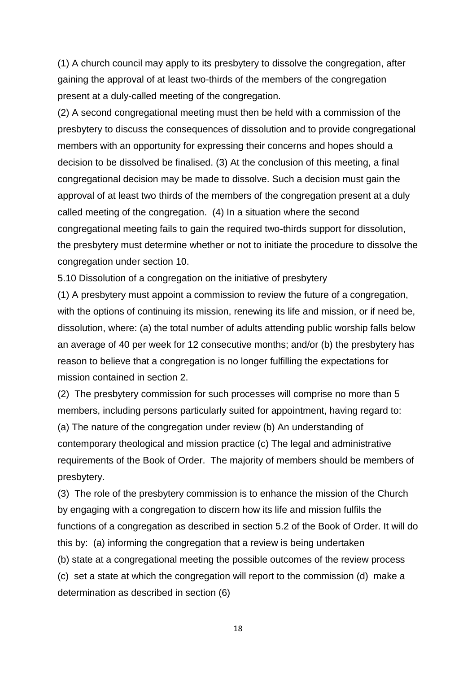(1) A church council may apply to its presbytery to dissolve the congregation, after gaining the approval of at least two-thirds of the members of the congregation present at a duly-called meeting of the congregation.

(2) A second congregational meeting must then be held with a commission of the presbytery to discuss the consequences of dissolution and to provide congregational members with an opportunity for expressing their concerns and hopes should a decision to be dissolved be finalised. (3) At the conclusion of this meeting, a final congregational decision may be made to dissolve. Such a decision must gain the approval of at least two thirds of the members of the congregation present at a duly called meeting of the congregation. (4) In a situation where the second congregational meeting fails to gain the required two-thirds support for dissolution, the presbytery must determine whether or not to initiate the procedure to dissolve the congregation under section 10.

5.10 Dissolution of a congregation on the initiative of presbytery

(1) A presbytery must appoint a commission to review the future of a congregation, with the options of continuing its mission, renewing its life and mission, or if need be, dissolution, where: (a) the total number of adults attending public worship falls below an average of 40 per week for 12 consecutive months; and/or (b) the presbytery has reason to believe that a congregation is no longer fulfilling the expectations for mission contained in section 2.

(2) The presbytery commission for such processes will comprise no more than 5 members, including persons particularly suited for appointment, having regard to: (a) The nature of the congregation under review (b) An understanding of contemporary theological and mission practice (c) The legal and administrative requirements of the Book of Order. The majority of members should be members of presbytery.

(3) The role of the presbytery commission is to enhance the mission of the Church by engaging with a congregation to discern how its life and mission fulfils the functions of a congregation as described in section 5.2 of the Book of Order. It will do this by: (a) informing the congregation that a review is being undertaken (b) state at a congregational meeting the possible outcomes of the review process (c) set a state at which the congregation will report to the commission (d) make a determination as described in section (6)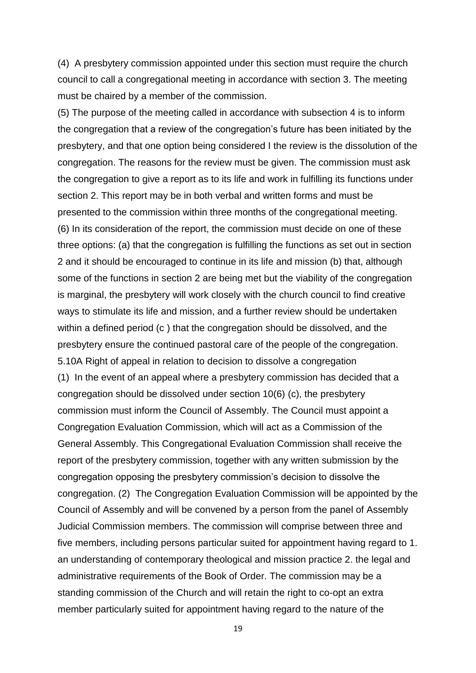(4) A presbytery commission appointed under this section must require the church council to call a congregational meeting in accordance with section 3. The meeting must be chaired by a member of the commission.

(5) The purpose of the meeting called in accordance with subsection 4 is to inform the congregation that a review of the congregation's future has been initiated by the presbytery, and that one option being considered I the review is the dissolution of the congregation. The reasons for the review must be given. The commission must ask the congregation to give a report as to its life and work in fulfilling its functions under section 2. This report may be in both verbal and written forms and must be presented to the commission within three months of the congregational meeting. (6) In its consideration of the report, the commission must decide on one of these three options: (a) that the congregation is fulfilling the functions as set out in section 2 and it should be encouraged to continue in its life and mission (b) that, although some of the functions in section 2 are being met but the viability of the congregation is marginal, the presbytery will work closely with the church council to find creative ways to stimulate its life and mission, and a further review should be undertaken within a defined period (c) that the congregation should be dissolved, and the presbytery ensure the continued pastoral care of the people of the congregation. 5.10A Right of appeal in relation to decision to dissolve a congregation (1) In the event of an appeal where a presbytery commission has decided that a congregation should be dissolved under section 10(6) (c), the presbytery commission must inform the Council of Assembly. The Council must appoint a Congregation Evaluation Commission, which will act as a Commission of the General Assembly. This Congregational Evaluation Commission shall receive the report of the presbytery commission, together with any written submission by the congregation opposing the presbytery commission's decision to dissolve the congregation. (2) The Congregation Evaluation Commission will be appointed by the Council of Assembly and will be convened by a person from the panel of Assembly Judicial Commission members. The commission will comprise between three and five members, including persons particular suited for appointment having regard to 1. an understanding of contemporary theological and mission practice 2. the legal and administrative requirements of the Book of Order. The commission may be a standing commission of the Church and will retain the right to co-opt an extra member particularly suited for appointment having regard to the nature of the